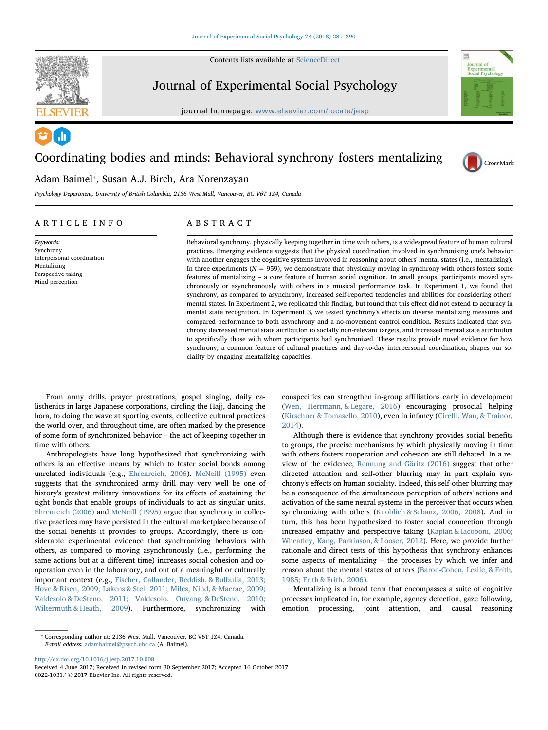.h



Journal of Experimental Social Psychology

journal homepage: [www.elsevier.com/locate/jesp](https://www.elsevier.com/locate/jesp)



# Coordinating bodies and minds: Behavioral synchrony fosters mentalizing



## Adam Baimel<sup>\*</sup>, Susan A.J. Birch, Ara Norenzayan

Psychology Department, University of British Columbia, 2136 West Mall, Vancouver, BC V6T 1Z4, Canada

## ARTICLE INFO

Keywords: Synchrony Interpersonal coordination Mentalizing Perspective taking Mind perception

## ABSTRACT

Behavioral synchrony, physically keeping together in time with others, is a widespread feature of human cultural practices. Emerging evidence suggests that the physical coordination involved in synchronizing one's behavior with another engages the cognitive systems involved in reasoning about others' mental states (i.e., mentalizing). In three experiments ( $N = 959$ ), we demonstrate that physically moving in synchrony with others fosters some features of mentalizing – a core feature of human social cognition. In small groups, participants moved synchronously or asynchronously with others in a musical performance task. In Experiment 1, we found that synchrony, as compared to asynchrony, increased self-reported tendencies and abilities for considering others' mental states. In Experiment 2, we replicated this finding, but found that this effect did not extend to accuracy in mental state recognition. In Experiment 3, we tested synchrony's effects on diverse mentalizing measures and compared performance to both asynchrony and a no-movement control condition. Results indicated that synchrony decreased mental state attribution to socially non-relevant targets, and increased mental state attribution to specifically those with whom participants had synchronized. These results provide novel evidence for how synchrony, a common feature of cultural practices and day-to-day interpersonal coordination, shapes our sociality by engaging mentalizing capacities.

From army drills, prayer prostrations, gospel singing, daily calisthenics in large Japanese corporations, circling the Hajj, dancing the hora, to doing the wave at sporting events, collective cultural practices the world over, and throughout time, are often marked by the presence of some form of synchronized behavior – the act of keeping together in time with others.

Anthropologists have long hypothesized that synchronizing with others is an effective means by which to foster social bonds among unrelated individuals (e.g., [Ehrenreich, 2006](#page-9-0)). [McNeill \(1995\)](#page-9-1) even suggests that the synchronized army drill may very well be one of history's greatest military innovations for its effects of sustaining the tight bonds that enable groups of individuals to act as singular units. [Ehrenreich \(2006\)](#page-9-0) and [McNeill \(1995\)](#page-9-1) argue that synchrony in collective practices may have persisted in the cultural marketplace because of the social benefits it provides to groups. Accordingly, there is considerable experimental evidence that synchronizing behaviors with others, as compared to moving asynchronously (i.e., performing the same actions but at a different time) increases social cohesion and cooperation even in the laboratory, and out of a meaningful or culturally important context (e.g., [Fischer, Callander, Reddish, & Bulbulia, 2013;](#page-9-2) [Hove & Risen, 2009; Lakens & Stel, 2011; Miles, Nind, & Macrae, 2009;](#page-9-2) [Valdesolo & DeSteno, 2011; Valdesolo, Ouyang, & DeSteno, 2010;](#page-9-2) [Wiltermuth & Heath, 2009](#page-9-2)). Furthermore, synchronizing with

conspecifics can strengthen in-group affiliations early in development ([Wen, Herrmann, & Legare, 2016](#page-9-3)) encouraging prosocial helping ([Kirschner & Tomasello, 2010](#page-9-4)), even in infancy [\(Cirelli, Wan, & Trainor,](#page-8-0) [2014\)](#page-8-0).

Although there is evidence that synchrony provides social benefits to groups, the precise mechanisms by which physically moving in time with others fosters cooperation and cohesion are still debated. In a review of the evidence, [Rennung and Göritz \(2016\)](#page-9-5) suggest that other directed attention and self-other blurring may in part explain synchrony's effects on human sociality. Indeed, this self-other blurring may be a consequence of the simultaneous perception of others' actions and activation of the same neural systems in the perceiver that occurs when synchronizing with others [\(Knoblich & Sebanz, 2006, 2008\)](#page-9-6). And in turn, this has been hypothesized to foster social connection through increased empathy and perspective taking ([Kaplan & Iacoboni, 2006;](#page-9-7) [Wheatley, Kang, Parkinson, & Looser, 2012](#page-9-7)). Here, we provide further rationale and direct tests of this hypothesis that synchrony enhances some aspects of mentalizing – the processes by which we infer and reason about the mental states of others ([Baron-Cohen, Leslie, & Frith,](#page-8-1) [1985; Frith & Frith, 2006](#page-8-1)).

Mentalizing is a broad term that encompasses a suite of cognitive processes implicated in, for example, agency detection, gaze following, emotion processing, joint attention, and causal reasoning

<http://dx.doi.org/10.1016/j.jesp.2017.10.008>

<span id="page-0-0"></span><sup>⁎</sup> Corresponding author at: 2136 West Mall, Vancouver, BC V6T 1Z4, Canada. E-mail address: [adambaimel@psych.ubc.ca](mailto:adambaimel@psych.ubc.ca) (A. Baimel).

Received 4 June 2017; Received in revised form 30 September 2017; Accepted 16 October 2017 0022-1031/ © 2017 Elsevier Inc. All rights reserved.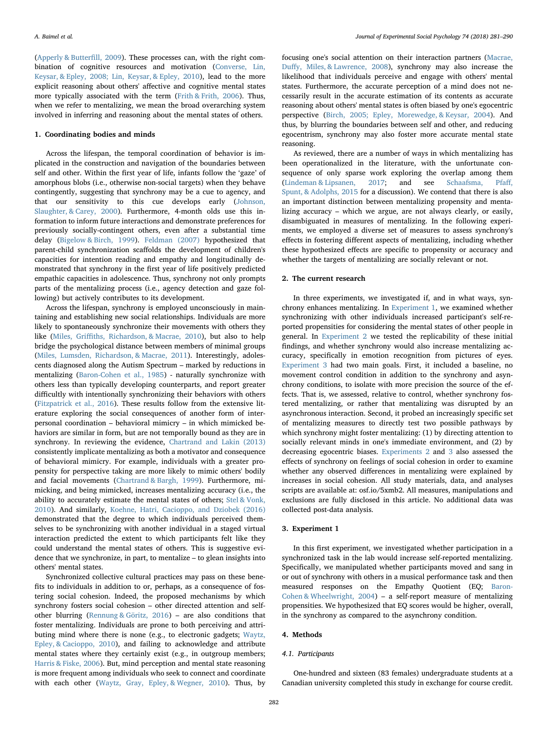([Apperly & Butter](#page-8-2)fill, 2009). These processes can, with the right combination of cognitive resources and motivation [\(Converse, Lin,](#page-8-3) [Keysar, & Epley, 2008; Lin, Keysar, & Epley, 2010](#page-8-3)), lead to the more explicit reasoning about others' affective and cognitive mental states more typically associated with the term ([Frith & Frith, 2006](#page-9-8)). Thus, when we refer to mentalizing, we mean the broad overarching system involved in inferring and reasoning about the mental states of others.

#### 1. Coordinating bodies and minds

Across the lifespan, the temporal coordination of behavior is implicated in the construction and navigation of the boundaries between self and other. Within the first year of life, infants follow the 'gaze' of amorphous blobs (i.e., otherwise non-social targets) when they behave contingently, suggesting that synchrony may be a cue to agency, and that our sensitivity to this cue develops early [\(Johnson,](#page-9-9) [Slaughter, & Carey, 2000\)](#page-9-9). Furthermore, 4-month olds use this information to inform future interactions and demonstrate preferences for previously socially-contingent others, even after a substantial time delay [\(Bigelow & Birch, 1999](#page-8-4)). [Feldman \(2007\)](#page-9-10) hypothesized that parent-child synchronization scaffolds the development of children's capacities for intention reading and empathy and longitudinally demonstrated that synchrony in the first year of life positively predicted empathic capacities in adolescence. Thus, synchrony not only prompts parts of the mentalizing process (i.e., agency detection and gaze following) but actively contributes to its development.

Across the lifespan, synchrony is employed unconsciously in maintaining and establishing new social relationships. Individuals are more likely to spontaneously synchronize their movements with others they like (Miles, Griffi[ths, Richardson, & Macrae, 2010](#page-9-11)), but also to help bridge the psychological distance between members of minimal groups ([Miles, Lumsden, Richardson, & Macrae, 2011\)](#page-9-12). Interestingly, adolescents diagnosed along the Autism Spectrum – marked by reductions in mentalizing ([Baron-Cohen et al., 1985](#page-8-1)) - naturally synchronize with others less than typically developing counterparts, and report greater difficultly with intentionally synchronizing their behaviors with others ([Fitzpatrick et al., 2016\)](#page-9-13). These results follow from the extensive literature exploring the social consequences of another form of interpersonal coordination – behavioral mimicry – in which mimicked behaviors are similar in form, but are not temporally bound as they are in synchrony. In reviewing the evidence, [Chartrand and Lakin \(2013\)](#page-8-5) consistently implicate mentalizing as both a motivator and consequence of behavioral mimicry. For example, individuals with a greater propensity for perspective taking are more likely to mimic others' bodily and facial movements [\(Chartrand & Bargh, 1999](#page-8-6)). Furthermore, mimicking, and being mimicked, increases mentalizing accuracy (i.e., the ability to accurately estimate the mental states of others; [Stel & Vonk,](#page-9-14) [2010\)](#page-9-14). And similarly, [Koehne, Hatri, Cacioppo, and Dziobek \(2016\)](#page-9-15) demonstrated that the degree to which individuals perceived themselves to be synchronizing with another individual in a staged virtual interaction predicted the extent to which participants felt like they could understand the mental states of others. This is suggestive evidence that we synchronize, in part, to mentalize – to glean insights into others' mental states.

Synchronized collective cultural practices may pass on these benefits to individuals in addition to or, perhaps, as a consequence of fostering social cohesion. Indeed, the proposed mechanisms by which synchrony fosters social cohesion – other directed attention and selfother blurring ([Rennung & Göritz, 2016\)](#page-9-5) – are also conditions that foster mentalizing. Individuals are prone to both perceiving and attributing mind where there is none (e.g., to electronic gadgets; [Waytz,](#page-9-16) [Epley, & Cacioppo, 2010](#page-9-16)), and failing to acknowledge and attribute mental states where they certainly exist (e.g., in outgroup members; [Harris & Fiske, 2006\)](#page-9-17). But, mind perception and mental state reasoning is more frequent among individuals who seek to connect and coordinate with each other [\(Waytz, Gray, Epley, & Wegner, 2010\)](#page-9-18). Thus, by

focusing one's social attention on their interaction partners ([Macrae,](#page-9-19) Duff[y, Miles, & Lawrence, 2008](#page-9-19)), synchrony may also increase the likelihood that individuals perceive and engage with others' mental states. Furthermore, the accurate perception of a mind does not necessarily result in the accurate estimation of its contents as accurate reasoning about others' mental states is often biased by one's egocentric perspective ([Birch, 2005; Epley, Morewedge, & Keysar, 2004](#page-8-7)). And thus, by blurring the boundaries between self and other, and reducing egocentrism, synchrony may also foster more accurate mental state reasoning.

As reviewed, there are a number of ways in which mentalizing has been operationalized in the literature, with the unfortunate consequence of only sparse work exploring the overlap among them ([Lindeman & Lipsanen, 2017](#page-9-20); and see [Schaafsma, Pfa](#page-9-21)ff, [Spunt, & Adolphs, 2015](#page-9-21) for a discussion). We contend that there is also an important distinction between mentalizing propensity and mentalizing accuracy – which we argue, are not always clearly, or easily, disambiguated in measures of mentalizing. In the following experiments, we employed a diverse set of measures to assess synchrony's effects in fostering different aspects of mentalizing, including whether these hypothesized effects are specific to propensity or accuracy and whether the targets of mentalizing are socially relevant or not.

#### 2. The current research

In three experiments, we investigated if, and in what ways, synchrony enhances mentalizing. In [Experiment 1,](#page-1-0) we examined whether synchronizing with other individuals increased participant's self-reported propensities for considering the mental states of other people in general. In [Experiment 2](#page-3-0) we tested the replicability of these initial findings, and whether synchrony would also increase mentalizing accuracy, specifically in emotion recognition from pictures of eyes. [Experiment 3](#page-4-0) had two main goals. First, it included a baseline, no movement control condition in addition to the synchrony and asynchrony conditions, to isolate with more precision the source of the effects. That is, we assessed, relative to control, whether synchrony fostered mentalizing, or rather that mentalizing was disrupted by an asynchronous interaction. Second, it probed an increasingly specific set of mentalizing measures to directly test two possible pathways by which synchrony might foster mentalizing: (1) by directing attention to socially relevant minds in one's immediate environment, and (2) by decreasing egocentric biases. [Experiments 2](#page-3-0) and [3](#page-4-0) also assessed the effects of synchrony on feelings of social cohesion in order to examine whether any observed differences in mentalizing were explained by increases in social cohesion. All study materials, data, and analyses scripts are available at: osf.io/5xmb2. All measures, manipulations and exclusions are fully disclosed in this article. No additional data was collected post-data analysis.

## <span id="page-1-0"></span>3. Experiment 1

In this first experiment, we investigated whether participation in a synchronized task in the lab would increase self-reported mentalizing. Specifically, we manipulated whether participants moved and sang in or out of synchrony with others in a musical performance task and then measured responses on the Empathy Quotient (EQ; [Baron-](#page-8-8)[Cohen & Wheelwright, 2004](#page-8-8)) – a self-report measure of mentalizing propensities. We hypothesized that EQ scores would be higher, overall, in the synchrony as compared to the asynchrony condition.

#### 4. Methods

#### 4.1. Participants

One-hundred and sixteen (83 females) undergraduate students at a Canadian university completed this study in exchange for course credit.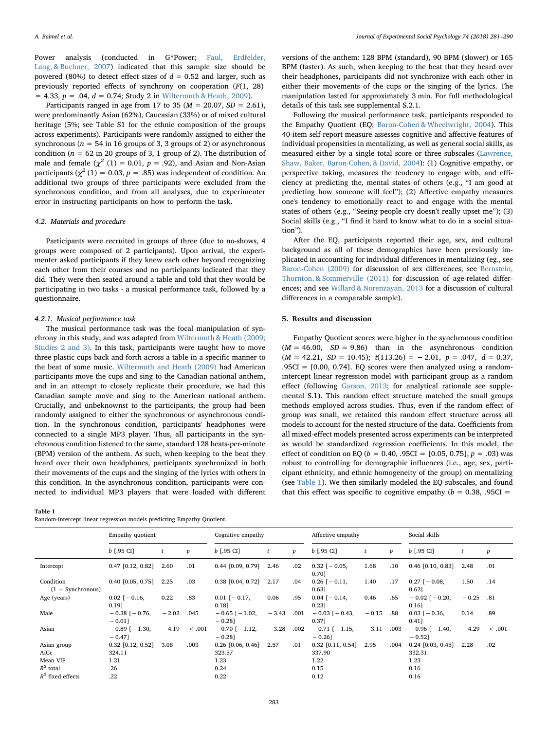Power analysis (conducted in G\*Power; [Faul, Erdfelder,](#page-9-22) [Lang, & Buchner, 2007](#page-9-22)) indicated that this sample size should be powered (80%) to detect effect sizes of  $d = 0.52$  and larger, such as previously reported effects of synchrony on cooperation (F(1, 28)  $= 4.33, p = .04, d = 0.74$ ; Study 2 in [Wiltermuth & Heath, 2009\)](#page-9-23).

Participants ranged in age from 17 to 35 ( $M = 20.07$ ,  $SD = 2.61$ ), were predominantly Asian (62%), Caucasian (33%) or of mixed cultural heritage (5%; see Table S1 for the ethnic composition of the groups across experiments). Participants were randomly assigned to either the synchronous ( $n = 54$  in 16 groups of 3, 3 groups of 2) or asynchronous condition ( $n = 62$  in 20 groups of 3, 1 group of 2). The distribution of male and female ( $\gamma^2$  (1) = 0.01, p = .92), and Asian and Non-Asian participants ( $\gamma^2$  (1) = 0.03, p = .85) was independent of condition. An additional two groups of three participants were excluded from the synchronous condition, and from all analyses, due to experimenter error in instructing participants on how to perform the task.

## 4.2. Materials and procedure

Participants were recruited in groups of three (due to no-shows, 4 groups were composed of 2 participants). Upon arrival, the experimenter asked participants if they knew each other beyond recognizing each other from their courses and no participants indicated that they did. They were then seated around a table and told that they would be participating in two tasks - a musical performance task, followed by a questionnaire.

## 4.2.1. Musical performance task

The musical performance task was the focal manipulation of synchrony in this study, and was adapted from [Wiltermuth & Heath \(2009;](#page-9-23) [Studies 2 and 3\).](#page-9-23) In this task, participants were taught how to move three plastic cups back and forth across a table in a specific manner to the beat of some music. [Wiltermuth and Heath \(2009\)](#page-9-23) had American participants move the cups and sing to the Canadian national anthem, and in an attempt to closely replicate their procedure, we had this Canadian sample move and sing to the American national anthem. Crucially, and unbeknownst to the participants, the group had been randomly assigned to either the synchronous or asynchronous condition. In the synchronous condition, participants' headphones were connected to a single MP3 player. Thus, all participants in the synchronous condition listened to the same, standard 128 beats-per-minute (BPM) version of the anthem. As such, when keeping to the beat they heard over their own headphones, participants synchronized in both their movements of the cups and the singing of the lyrics with others in this condition. In the asynchronous condition, participants were connected to individual MP3 players that were loaded with different

#### <span id="page-2-0"></span>Table 1

Random-intercept linear regression models predicting Empathy Quotient.

versions of the anthem: 128 BPM (standard), 90 BPM (slower) or 165 BPM (faster). As such, when keeping to the beat that they heard over their headphones, participants did not synchronize with each other in either their movements of the cups or the singing of the lyrics. The manipulation lasted for approximately 3 min. For full methodological details of this task see supplemental S.2.1.

Following the musical performance task, participants responded to the Empathy Quotient (EQ; [Baron-Cohen & Wheelwright, 2004\)](#page-8-8). This 40-item self-report measure assesses cognitive and affective features of individual propensities in mentalizing, as well as general social skills, as measured either by a single total score or three subscales ([Lawrence,](#page-9-24) [Shaw, Baker, Baron-Cohen, & David, 2004](#page-9-24)): (1) Cognitive empathy, or perspective taking, measures the tendency to engage with, and efficiency at predicting the, mental states of others (e.g., "I am good at predicting how someone will feel"); (2) Affective empathy measures one's tendency to emotionally react to and engage with the mental states of others (e.g., "Seeing people cry doesn't really upset me"); (3) Social skills (e.g., "I find it hard to know what to do in a social situation").

After the EQ, participants reported their age, sex, and cultural background as all of these demographics have been previously implicated in accounting for individual differences in mentalizing (eg., see [Baron-Cohen \(2009\)](#page-8-9) for discussion of sex differences; see [Bernstein,](#page-8-10) [Thornton, & Sommerville \(2011\)](#page-8-10) for discussion of age-related differences; and see [Willard & Norenzayan, 2013](#page-9-25) for a discussion of cultural differences in a comparable sample).

## 5. Results and discussion

Empathy Quotient scores were higher in the synchronous condition  $(M = 46.00, SD = 9.86)$  than in the asynchronous condition  $(M = 42.21, SD = 10.45); t(113.26) = -2.01, p = .047, d = 0.37,$ .95CI = [0.00, 0.74]. EQ scores were then analyzed using a randomintercept linear regression model with participant group as a random effect (following [Garson, 2013;](#page-9-26) for analytical rationale see supplemental S.1). This random effect structure matched the small groups methods employed across studies. Thus, even if the random effect of group was small, we retained this random effect structure across all models to account for the nested structure of the data. Coefficients from all mixed-effect models presented across experiments can be interpreted as would be standardized regression coefficients. In this model, the effect of condition on EQ ( $b = 0.40$ , .95CI = [0.05, 0.75],  $p = .03$ ) was robust to controlling for demographic influences (i.e., age, sex, participant ethnicity, and ethnic homogeneity of the group) on mentalizing (see [Table 1\)](#page-2-0). We then similarly modeled the EQ subscales, and found that this effect was specific to cognitive empathy  $(b = 0.38, .95CI =$ 

|                                  | Empathy quotient                 |         |       | Cognitive empathy                |         |                  | Affective empathy                |         |                  | Social skills                    |         |                  |  |
|----------------------------------|----------------------------------|---------|-------|----------------------------------|---------|------------------|----------------------------------|---------|------------------|----------------------------------|---------|------------------|--|
|                                  | $b$ [.95 CI]                     | t       | p     | $b$ [.95 CI]                     | t       | $\boldsymbol{p}$ | $b$ [.95 CI]                     | t       | $\boldsymbol{p}$ | $b$ [.95 CI]                     | t       | $\boldsymbol{p}$ |  |
| Intercept                        | $0.47$ [0.12, 0.82]              | 2.60    | .01   | $0.44$ [0.09, 0.79]              | 2.46    | .02              | $0.32$ [ $- 0.05$ ,<br>0.70]     | 1.68    | .10              | $0.46$ [0.10, 0.83]              | 2.48    | .01              |  |
| Condition<br>$(1 = Synchronous)$ | $0.40$ [0.05, 0.75]              | 2.25    | .03   | $0.38$ [0.04, 0.72]              | 2.17    | .04              | $0.26$ [ $- 0.11$ ,<br>$0.63$ ]  | 1.40    | .17              | $0.27$ $-0.08$ ,<br>0.621        | 1.50    | .14              |  |
| Age (years)                      | $0.02$ [ $- 0.16$ ,<br>0.19]     | 0.22    | .83   | $0.01$ [ $-0.17$ ,<br>0.18]      | 0.06    | .95              | $0.04$ [ $- 0.14$ ,<br>0.23]     | 0.46    | .65              | $-0.02$ [ $-0.20$ ]<br>$0.16$ ]  | $-0.25$ | .81              |  |
| Male                             | $-0.38$ [ $-0.76$ ,<br>$-0.01$ ] | $-2.02$ | .045  | $-0.65$ [ $-1.02$ ,<br>$-0.28$ ] | $-3.43$ | .001             | $-0.03$ [ $-0.43$ ]<br>0.371     | $-0.15$ | .88              | $0.03$ [ $- 0.36$ ,<br>$0.41$ ]  | 0.14    | .89              |  |
| Asian                            | $-0.89$ [ $-1.30$ ]<br>$-0.47$ ] | $-4.19$ | <.001 | $-0.70$ [ $-1.12$ ,<br>$-0.28$ ] | $-3.28$ | .002             | $-0.71$ [ $-1.15$ ,<br>$-0.26$ ] | $-3.11$ | .003             | $-0.96$ [ $-1.40$ ,<br>$-0.52$ ] | $-4.29$ | <.001            |  |
| Asian group<br>AICc              | $0.32$ [0.12, 0.52]<br>324.11    | 3.08    | .003  | $0.26$ [0.06, 0.46]<br>323.57    | 2.57    | .01              | $0.32$ [0.11, 0.54]<br>337.90    | 2.95    | .004             | $0.24$ [0.03, 0.45]<br>332.31    | 2.28    | .02              |  |
| Mean VIF                         | 1.21                             |         |       | 1.23                             |         |                  | 1.22                             |         |                  | 1.23                             |         |                  |  |
| $R^2$ total                      | .26                              |         |       | 0.24                             |         |                  | 0.15                             |         |                  | 0.16                             |         |                  |  |
| $R^2$ fixed effects              | .22                              |         |       | 0.22                             |         |                  | 0.12                             |         |                  | 0.16                             |         |                  |  |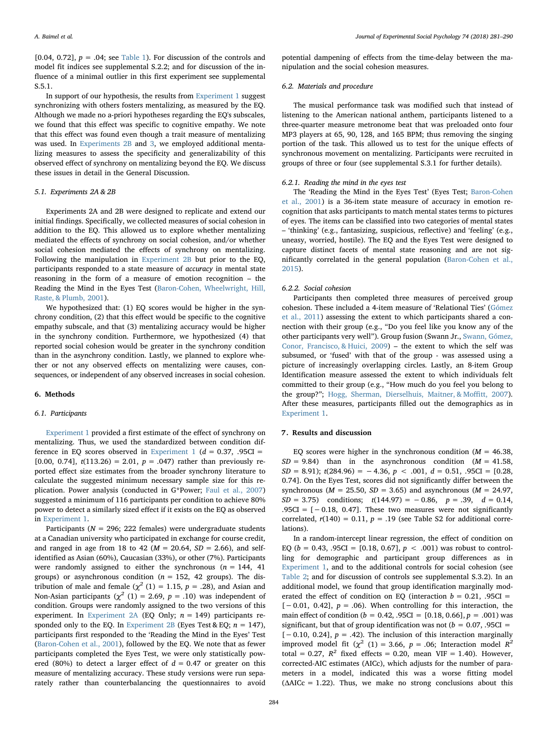[0.04, 0.72],  $p = .04$ ; see [Table 1\)](#page-2-0). For discussion of the controls and model fit indices see supplemental S.2.2; and for discussion of the influence of a minimal outlier in this first experiment see supplemental S.5.1.

In support of our hypothesis, the results from [Experiment 1](#page-1-0) suggest synchronizing with others fosters mentalizing, as measured by the EQ. Although we made no a-priori hypotheses regarding the EQ's subscales, we found that this effect was specific to cognitive empathy. We note that this effect was found even though a trait measure of mentalizing was used. In [Experiments 2B](#page-3-0) and [3,](#page-4-0) we employed additional mentalizing measures to assess the specificity and generalizability of this observed effect of synchrony on mentalizing beyond the EQ. We discuss these issues in detail in the General Discussion.

#### <span id="page-3-0"></span>5.1. Experiments 2A & 2B

Experiments 2A and 2B were designed to replicate and extend our initial findings. Specifically, we collected measures of social cohesion in addition to the EQ. This allowed us to explore whether mentalizing mediated the effects of synchrony on social cohesion, and/or whether social cohesion mediated the effects of synchrony on mentalizing. Following the manipulation in [Experiment 2B](#page-3-0) but prior to the EQ, participants responded to a state measure of accuracy in mental state reasoning in the form of a measure of emotion recognition – the Reading the Mind in the Eyes Test [\(Baron-Cohen, Wheelwright, Hill,](#page-8-11) [Raste, & Plumb, 2001](#page-8-11)).

We hypothesized that: (1) EQ scores would be higher in the synchrony condition, (2) that this effect would be specific to the cognitive empathy subscale, and that (3) mentalizing accuracy would be higher in the synchrony condition. Furthermore, we hypothesized (4) that reported social cohesion would be greater in the synchrony condition than in the asynchrony condition. Lastly, we planned to explore whether or not any observed effects on mentalizing were causes, consequences, or independent of any observed increases in social cohesion.

#### 6. Methods

## 6.1. Participants

[Experiment 1](#page-1-0) provided a first estimate of the effect of synchrony on mentalizing. Thus, we used the standardized between condition dif-ference in EQ scores observed in [Experiment 1](#page-1-0) ( $d = 0.37$ , .95CI = [0.00, 0.74],  $t(113.26) = 2.01$ ,  $p = .047$ ) rather than previously reported effect size estimates from the broader synchrony literature to calculate the suggested minimum necessary sample size for this replication. Power analysis (conducted in G\*Power; [Faul et al., 2007\)](#page-9-22) suggested a minimum of 116 participants per condition to achieve 80% power to detect a similarly sized effect if it exists on the EQ as observed in [Experiment 1.](#page-1-0)

Participants ( $N = 296$ ; 222 females) were undergraduate students at a Canadian university who participated in exchange for course credit, and ranged in age from 18 to 42 ( $M = 20.64$ ,  $SD = 2.66$ ), and selfidentified as Asian (60%), Caucasian (33%), or other (7%). Participants were randomly assigned to either the synchronous  $(n = 144, 41)$ groups) or asynchronous condition ( $n = 152$ , 42 groups). The distribution of male and female ( $\chi^2$  (1) = 1.15, p = .28), and Asian and Non-Asian participants ( $\chi^2$  (1) = 2.69, p = .10) was independent of condition. Groups were randomly assigned to the two versions of this experiment. In [Experiment 2A](#page-3-0) (EQ Only;  $n = 149$ ) participants re-sponded only to the EQ. In [Experiment 2B](#page-3-0) (Eyes Test & EQ;  $n = 147$ ), participants first responded to the 'Reading the Mind in the Eyes' Test ([Baron-Cohen et al., 2001](#page-8-11)), followed by the EQ. We note that as fewer participants completed the Eyes Test, we were only statistically powered (80%) to detect a larger effect of  $d = 0.47$  or greater on this measure of mentalizing accuracy. These study versions were run separately rather than counterbalancing the questionnaires to avoid

potential dampening of effects from the time-delay between the manipulation and the social cohesion measures.

#### 6.2. Materials and procedure

The musical performance task was modified such that instead of listening to the American national anthem, participants listened to a three-quarter measure metronome beat that was preloaded onto four MP3 players at 65, 90, 128, and 165 BPM; thus removing the singing portion of the task. This allowed us to test for the unique effects of synchronous movement on mentalizing. Participants were recruited in groups of three or four (see supplemental S.3.1 for further details).

#### 6.2.1. Reading the mind in the eyes test

The 'Reading the Mind in the Eyes Test' (Eyes Test; [Baron-Cohen](#page-8-11) [et al., 2001\)](#page-8-11) is a 36-item state measure of accuracy in emotion recognition that asks participants to match mental states terms to pictures of eyes. The items can be classified into two categories of mental states – 'thinking' (e.g., fantasizing, suspicious, reflective) and 'feeling' (e.g., uneasy, worried, hostile). The EQ and the Eyes Test were designed to capture distinct facets of mental state reasoning and are not significantly correlated in the general population [\(Baron-Cohen et al.,](#page-8-12) [2015\)](#page-8-12).

#### 6.2.2. Social cohesion

Participants then completed three measures of perceived group cohesion. These included a 4-item measure of 'Relational Ties' [\(Gómez](#page-9-27) [et al., 2011](#page-9-27)) assessing the extent to which participants shared a connection with their group (e.g., "Do you feel like you know any of the other participants very well"). Group fusion (Swann Jr., [Swann, Gómez,](#page-9-28) [Conor, Francisco, & Huici, 2009](#page-9-28)) – the extent to which the self was subsumed, or 'fused' with that of the group - was assessed using a picture of increasingly overlapping circles. Lastly, an 8-item Group Identification measure assessed the extent to which individuals felt committed to their group (e.g., "How much do you feel you belong to the group?"; [Hogg, Sherman, Dierselhuis, Maitner, & Mo](#page-9-29)ffitt, 2007). After these measures, participants filled out the demographics as in [Experiment 1](#page-1-0).

#### 7. Results and discussion

EQ scores were higher in the synchronous condition  $(M = 46.38$ ,  $SD = 9.84$ ) than in the asynchronous condition ( $M = 41.58$ ,  $SD = 8.91$ ;  $t(284.96) = -4.36$ ,  $p < .001$ ,  $d = 0.51$ , .95CI = [0.28, 0.74]. On the Eyes Test, scores did not significantly differ between the synchronous ( $M = 25.50$ ,  $SD = 3.65$ ) and asynchronous ( $M = 24.97$ ,  $SD = 3.75$ ) conditions;  $t(144.97) = -0.86$ ,  $p = .39$ ,  $d = 0.14$ , .95CI =  $[-0.18, 0.47]$ . These two measures were not significantly correlated,  $r(140) = 0.11$ ,  $p = .19$  (see Table S2 for additional correlations).

In a random-intercept linear regression, the effect of condition on EQ ( $b = 0.43$ , .95CI = [0.18, 0.67],  $p < .001$ ) was robust to controlling for demographic and participant group differences as in [Experiment 1,](#page-1-0) and to the additional controls for social cohesion (see [Table 2;](#page-4-1) and for discussion of controls see supplemental S.3.2). In an additional model, we found that group identification marginally moderated the effect of condition on EQ (interaction  $b = 0.21$ , .95CI =  $[-0.01, 0.42]$ ,  $p = .06$ ). When controlling for this interaction, the main effect of condition ( $b = 0.42$ , .95CI = [0.18, 0.66],  $p = .001$ ) was significant, but that of group identification was not ( $b = 0.07$ , .95CI =  $[-0.10, 0.24]$ ,  $p = .42$ ). The inclusion of this interaction marginally improved model fit ( $\chi^2$  (1) = 3.66, p = .06; Interaction model  $R^2$ total = 0.27,  $R^2$  fixed effects = 0.20, mean VIF = 1.40). However, corrected-AIC estimates (AICc), which adjusts for the number of parameters in a model, indicated this was a worse fitting model  $(AAICc = 1.22)$ . Thus, we make no strong conclusions about this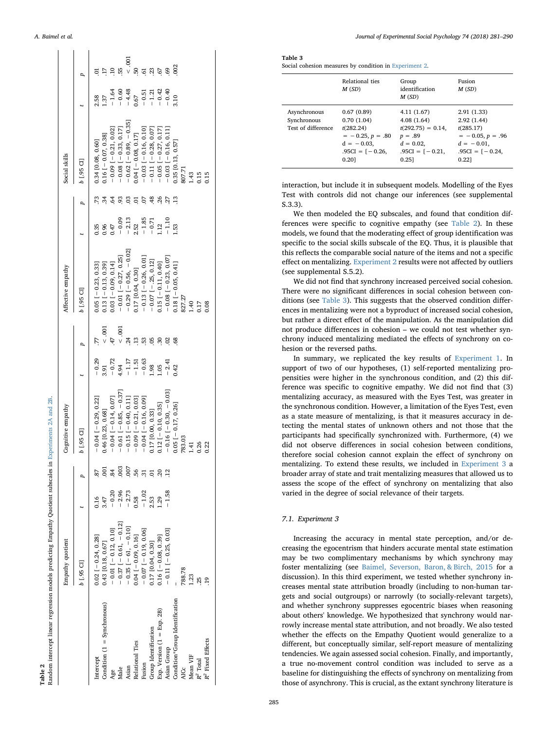<span id="page-4-1"></span>

| Random intercept linear regression models predicting Empathy Quotient subscales in Experiments 2A and 2B<br>Table 2 |                           |         |                 |                                                                                |                                               |                |                           |                                                   |               |                           |                                          |                               |
|---------------------------------------------------------------------------------------------------------------------|---------------------------|---------|-----------------|--------------------------------------------------------------------------------|-----------------------------------------------|----------------|---------------------------|---------------------------------------------------|---------------|---------------------------|------------------------------------------|-------------------------------|
|                                                                                                                     | Empathy quotient          |         |                 | Cognitive empathy                                                              |                                               |                | Affective empathy         |                                                   |               | Social skills             |                                          |                               |
|                                                                                                                     | b [.95 CI]                |         |                 | $[0.95 \; \text{C}$                                                            |                                               |                | b [.95 CI]                |                                                   |               | b [.95 CI]                |                                          |                               |
| Intercept                                                                                                           | $0.02$ [ $-0.24, 0.28$ ]  |         |                 | $-0.04$ [ $-0.29, 0.22$ ]                                                      | $-0.29$                                       |                | $0.05$ [ $-0.23, 0.33$ ]  | 0.35                                              |               | 0.34 [0.08, 0.60]         | 2.58                                     |                               |
| Condition $(1 = S$ ynchronous)                                                                                      | $0.43$ [0.18, 0.67]       | 3.47    | $\overline{00}$ | $0.46$ [0.23, 0.68]                                                            | 3.91                                          | $< .001$       | $0.13[-0.13, 0.39]$       | 0.96                                              | 34            | $0.16[-0.07, 0.38]$       | 1.37                                     |                               |
| Age                                                                                                                 | $-0.01$ [ $-0.12$ , 0.10] | $-0.20$ | 84              |                                                                                | $-0.72$                                       | 47             | $0.03[-0.09, 0.14]$       | 0.47                                              | $\ddot{q}$    | $-0.09$ [ $-0.21, 0.02$ ] | $-1.64$                                  | $\overline{.10}$              |
| Male                                                                                                                | $-0.37[-0.61, -0.12]$     | $-2.96$ | .003            | $-0.04$ [ $-0.14$ , 0.07]<br>-0.61 [ $-0.85$ , $-0.37$ ]                       | 4.94                                          | $< .001$       | $-0.01$ [ $-0.27, 0.25$ ] | $-0.09$                                           | 93            | $-0.08$ [ $-0.33, 0.17$ ] | $-0.60$                                  | 55                            |
| Asian                                                                                                               | $-0.35$ [ $-61, -0.10$ ]  | $-2.73$ | 007             |                                                                                |                                               | $^{24}$        | $-0.29[-0.56, -0.02]$     | $-2.13$                                           | ຶ             | $-0.62[-0.89, -0.35]$     | $-4.48$                                  | $\frac{1}{2}$                 |
| Relational Ties                                                                                                     | $0.04[-0.09, 0.16]$       | 0.58    | ە.              | $\begin{array}{r} -0.15 ~[- 0.40, ~0.11]\\ -0.09 ~[- 0.21, ~0.03] \end{array}$ | $\begin{array}{r} -1.17 \\ -1.51 \end{array}$ | $\frac{13}{2}$ | 0.17 [0.04, 0.30]         | $2.52$<br>$-1.85$<br>$-0.71$<br>$1.12$<br>$-1.10$ | ਠ             | $0.04$ [ $-0.08$ , 0.17]  | 1.67                                     | 50                            |
| Fusion                                                                                                              | $-0.07$ [ $-0.19$ , 0.06] | $-1.02$ |                 | $-0.04$ [ $-0.16$ , 0.09]                                                      | $-0.63$                                       | 53             | $-0.13[-0.26, 0.01]$      |                                                   | 50            | $-0.03$ [ $-0.16$ , 0.10] |                                          |                               |
| Group Identification                                                                                                | 0.17 [0.04, 0.30]         | 2.53    |                 | 0.17 [0.00, 0.33]                                                              | 1.98                                          |                | $-0.07$ [ $-.25, 0.12$ ]  |                                                   | $\frac{8}{3}$ | $-0.11[-0.28, 0.07]$      | $-0.51$<br>$-1.21$<br>$-0.42$<br>$-0.40$ | $\frac{5}{9}$ 3 $\frac{5}{9}$ |
| Exp. Version $(1 = Exp. 2B)$                                                                                        | $0.16[-0.08, 0.39]$       | 1.29    |                 | $0.12$ [ $-0.10$ , 0.35]                                                       | $1.05 - 2.41$                                 | 30             | $0.15[-0.11, 0.40]$       |                                                   | .26           | $-0.05$ [ $-0.27, 0.17$ ] |                                          |                               |
| Asian Group                                                                                                         | $-0.11$ [ $-0.25, 0.03$ ] | $-1.58$ | $^{12}$         | $-0.16$ [ $-0.30, -0.03$ ]                                                     |                                               | 0 <sup>2</sup> | $-0.08$ [ $-0.23, 0.07$ ] |                                                   | Σj            | $-0.03[-0.16, 0.11]$      |                                          | 69                            |
| Condition*Group Identification                                                                                      |                           |         |                 | $0.05[-0.17, 0.26]$                                                            | 0.42                                          |                | $0.18[-0.05, 0.41]$       | 1.53                                              |               | 0.35 [0.13, 0.57]         | 3.10                                     | $\overline{002}$              |
| AICc                                                                                                                | 788.78                    |         |                 | 783.03                                                                         |                                               |                | 827.27                    |                                                   |               | 807.71                    |                                          |                               |
| Mean VIF                                                                                                            | 1.23                      |         |                 | 1.41                                                                           |                                               |                | 1.40                      |                                                   |               | 1.43                      |                                          |                               |
| $R^2$ Total                                                                                                         | $\frac{5}{2}$             |         |                 | 0.26                                                                           |                                               |                | 0.17                      |                                                   |               | 0.15                      |                                          |                               |
| $R^2$ Fixed Effects                                                                                                 | $\overline{19}$           |         |                 | 0.22                                                                           |                                               |                | 0.08                      |                                                   |               | 0.15                      |                                          |                               |

<span id="page-4-2"></span>Table 3 Social cohesion measures by condition in [Experiment 2](#page-3-0) .

|                                                   | Relational ties<br>M(SD)                                                                                   | Group<br>identification<br>M(SD)                                                                               | Fusion<br>M(SD)                                                                                                  |
|---------------------------------------------------|------------------------------------------------------------------------------------------------------------|----------------------------------------------------------------------------------------------------------------|------------------------------------------------------------------------------------------------------------------|
| Asynchronous<br>Synchronous<br>Test of difference | 0.67(0.89)<br>0.70(1.04)<br>t(282.24)<br>$= -0.25, p = .80$<br>$d = -0.03$ .<br>$.95CI = [-0.26]$<br>0.201 | 4.11(1.67)<br>4.08(1.64)<br>$t(292.75) = 0.14$ ,<br>$p = .89$<br>$d = 0.02$ .<br>$.95CI = [-0.21,$<br>$0.25$ ] | 2.91(1.33)<br>2.92(1.44)<br>t(285.17)<br>$=$ - 0.05, $p = .96$<br>$d = -0.01$ .<br>$.95CI = [-0.24,$<br>$0.22$ ] |

interaction, but include it in subsequent models. Modelling of the Eyes Test with controls did not change our inferences (see supplemental S.3.3).

We then modeled the EQ subscales, and found that condition differences were specific to cognitive empathy (see [Table 2](#page-4-1)). In these models, we found that the moderating e ffect of group identi fication was speci fic to the social skills subscale of the EQ. Thus, it is plausible that this reflects the comparable social nature of the items and not a specific e ffect on mentalizing. [Experiment 2](#page-3-0) results were not a ffected by outliers (see supplemental S.5.2).

We did not find that synchrony increased perceived social cohesion. There were no signi ficant di fferences in social cohesion between conditions (see [Table 3](#page-4-2)). This suggests that the observed condition differences in mentalizing were not a byproduct of increased social cohesion, but rather a direct e ffect of the manipulation. As the manipulation did not produce di fferences in cohesion – we could not test whether synchrony induced mentalizing mediated the effects of synchrony on cohesion or the reversed paths.

In summary, we replicated the key results of [Experiment 1.](#page-1-0) In support of two of our hypotheses, (1) self-reported mentalizing propensities were higher in the synchronous condition, and (2) this difference was specific to cognitive empathy. We did not find that (3) mentalizing accuracy, as measured with the Eyes Test, was greater in the synchronous condition. However, a limitation of the Eyes Test, even as a state measure of mentalizing, is that it measures accuracy in detecting the mental states of unknown others and not those that the participants had speci fically synchronized with. Furthermore, (4) we did not observe di fferences in social cohesion between conditions, therefore social cohesion cannot explain the e ffect of synchrony on mentalizing. To extend these results, we included in [Experiment 3](#page-4-0) a broader array of state and trait mentalizing measures that allowed us to assess the scope of the e ffect of synchrony on mentalizing that also varied in the degree of social relevance of their targets.

#### <span id="page-4-0"></span>7.1. Experiment 3

Increasing the accuracy in mental state perception, and/or decreasing the egocentrism that hinders accurate mental state estimation may be two complimentary mechanisms by which synchrony may foster mentalizing (see [Baimel, Severson, Baron, & Birch, 2015](#page-8-13) for a discussion). In this third experiment, we tested whether synchrony increases mental state attribution broadly (including to non-human targets and social outgroups) or narrowly (to socially-relevant targets), and whether synchrony suppresses egocentric biases when reasoning about others' knowledge. We hypothesized that synchrony would narrowly increase mental state attribution, and not broadly. We also tested whether the e ffects on the Empathy Quotient would generalize to a di fferent, but conceptually similar, self-report measure of mentalizing tendencies. We again assessed social cohesion. Finally, and importantly, a true no-movement control condition was included to serve as a baseline for distinguishing the e ffects of synchrony on mentalizing from those of asynchrony. This is crucial, as the extant synchrony literature is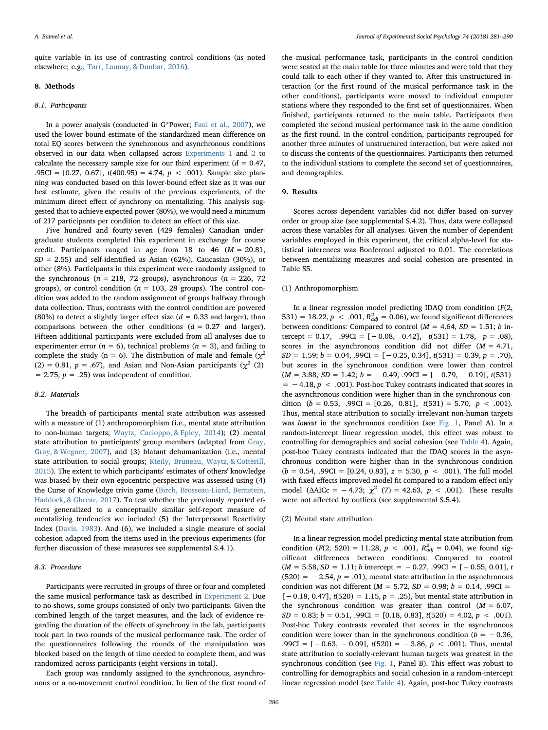quite variable in its use of contrasting control conditions (as noted elsewhere; e.g., [Tarr, Launay, & Dunbar, 2016\)](#page-9-30).

## 8. Methods

#### 8.1. Participants

In a power analysis (conducted in G\*Power; [Faul et al., 2007](#page-9-22)), we used the lower bound estimate of the standardized mean difference on total EQ scores between the synchronous and asynchronous conditions observed in our data when collapsed across [Experiments 1](#page-1-0) and [2](#page-3-0) to calculate the necessary sample size for our third experiment  $(d = 0.47)$ . .95CI =  $[0.27, 0.67]$ ,  $t(400.95) = 4.74$ ,  $p < .001$ ). Sample size planning was conducted based on this lower-bound effect size as it was our best estimate, given the results of the previous experiments, of the minimum direct effect of synchrony on mentalizing. This analysis suggested that to achieve expected power (80%), we would need a minimum of 217 participants per condition to detect an effect of this size.

Five hundred and fourty-seven (429 females) Canadian undergraduate students completed this experiment in exchange for course credit. Participants ranged in age from 18 to 46 ( $M = 20.81$ ,  $SD = 2.55$ ) and self-identified as Asian (62%), Caucasian (30%), or other (8%). Participants in this experiment were randomly assigned to the synchronous ( $n = 218$ , 72 groups), asynchronous ( $n = 226$ , 72 groups), or control condition ( $n = 103$ , 28 groups). The control condition was added to the random assignment of groups halfway through data collection. Thus, contrasts with the control condition are powered (80%) to detect a slightly larger effect size ( $d = 0.33$  and larger), than comparisons between the other conditions  $(d = 0.27$  and larger). Fifteen additional participants were excluded from all analyses due to experimenter error ( $n = 6$ ), technical problems ( $n = 3$ ), and failing to complete the study (n = 6). The distribution of male and female ( $\chi^2$ (2) = 0.81,  $p = .67$ ), and Asian and Non-Asian participants ( $\chi^2$  (2)  $= 2.75, p = .25$ ) was independent of condition.

#### 8.2. Materials

The breadth of participants' mental state attribution was assessed with a measure of (1) anthropomorphism (i.e., mental state attribution to non-human targets; [Waytz, Cacioppo, & Epley, 2014](#page-9-31)); (2) mental state attribution to participants' group members (adapted from [Gray,](#page-9-32) [Gray, & Wegner, 2007](#page-9-32)), and (3) blatant dehumanization (i.e., mental state attribution to social groups; [Kteily, Bruneau, Waytz, & Cotterill,](#page-9-33) [2015\)](#page-9-33). The extent to which participants' estimates of others' knowledge was biased by their own egocentric perspective was assessed using (4) the Curse of Knowledge trivia game ([Birch, Brosseau-Liard, Bernstein,](#page-8-14) [Haddock, & Ghrear, 2017\)](#page-8-14). To test whether the previously reported effects generalized to a conceptually similar self-report measure of mentalizing tendencies we included (5) the Interpersonal Reactivity Index [\(Davis, 1983](#page-8-15)). And (6), we included a single measure of social cohesion adapted from the items used in the previous experiments (for further discussion of these measures see supplemental S.4.1).

## 8.3. Procedure

Participants were recruited in groups of three or four and completed the same musical performance task as described in [Experiment 2.](#page-3-0) Due to no-shows, some groups consisted of only two participants. Given the combined length of the target measures, and the lack of evidence regarding the duration of the effects of synchrony in the lab, participants took part in two rounds of the musical performance task. The order of the questionnaires following the rounds of the manipulation was blocked based on the length of time needed to complete them, and was randomized across participants (eight versions in total).

Each group was randomly assigned to the synchronous, asynchronous or a no-movement control condition. In lieu of the first round of

the musical performance task, participants in the control condition were seated at the main table for three minutes and were told that they could talk to each other if they wanted to. After this unstructured interaction (or the first round of the musical performance task in the other conditions), participants were moved to individual computer stations where they responded to the first set of questionnaires. When finished, participants returned to the main table. Participants then completed the second musical performance task in the same condition as the first round. In the control condition, participants regrouped for another three minutes of unstructured interaction, but were asked not to discuss the contents of the questionnaires. Participants then returned to the individual stations to complete the second set of questionnaires, and demographics.

## 9. Results

Scores across dependent variables did not differ based on survey order or group size (see supplemental S.4.2). Thus, data were collapsed across these variables for all analyses. Given the number of dependent variables employed in this experiment, the critical alpha-level for statistical inferences was Bonferroni adjusted to 0.01. The correlations between mentalizing measures and social cohesion are presented in Table S5.

## (1) Anthropomorphism

In a linear regression model predicting IDAQ from condition  $(F(2,$ 531) = 18.22,  $p < .001$ ,  $R_{adj}^2 = 0.06$ ), we found significant differences between conditions: Compared to control ( $M = 4.64$ ,  $SD = 1.51$ ; b intercept = 0.17,  $.99CI = [-0.08, 0.42], t(531) = 1.78, p = .08$ , scores in the asynchronous condition did not differ  $(M = 4.71,$  $SD = 1.59$ ;  $b = 0.04$ , .99CI = [-0.25, 0.34],  $t(531) = 0.39$ ,  $p = .70$ ), but scores in the synchronous condition were lower than control  $(M = 3.88, SD = 1.42; b = -0.49, .99CI = [-0.79, -0.19], t(531)$  $= -4.18$ ,  $p < .001$ ). Post-hoc Tukey contrasts indicated that scores in the asynchronous condition were higher than in the synchronous condition ( $b = 0.53$ , .99CI = [0.26, 0.81],  $t(531) = 5.70$ ,  $p < .001$ ). Thus, mental state attribution to socially irrelevant non-human targets was lowest in the synchronous condition (see [Fig. 1,](#page-6-0) Panel A). In a random-intercept linear regression model, this effect was robust to controlling for demographics and social cohesion (see [Table 4](#page-6-1)). Again, post-hoc Tukey contrasts indicated that the IDAQ scores in the asynchronous condition were higher than in the synchronous condition  $(b = 0.54, .99CI = [0.24, 0.83], z = 5.30, p < .001$ . The full model with fixed effects improved model fit compared to a random-effect only model ( $\triangle$ AICc = -4.73;  $\chi^2$  (7) = 42.63,  $p < .001$ ). These results were not affected by outliers (see supplemental S.5.4).

#### (2) Mental state attribution

In a linear regression model predicting mental state attribution from condition ( $F(2, 520) = 11.28$ ,  $p < .001$ ,  $R_{adj}^2 = 0.04$ ), we found significant differences between conditions: Compared to control  $(M = 5.58, SD = 1.11; b$  intercept =  $-0.27, .99CI = [-0.55, 0.01], t$  $(520) = -2.54$ ,  $p = .01$ ), mental state attribution in the asynchronous condition was not different ( $M = 5.72$ ,  $SD = 0.98$ ;  $b = 0.14$ , .99CI =  $[-0.18, 0.47]$ ,  $t(520) = 1.15$ ,  $p = .25$ ), but mental state attribution in the synchronous condition was greater than control  $(M = 6.07,$  $SD = 0.83$ ;  $b = 0.51$ , .99CI = [0.18, 0.83],  $t(520) = 4.02$ ,  $p < .001$ ). Post-hoc Tukey contrasts revealed that scores in the asynchronous condition were lower than in the synchronous condition ( $b = -0.36$ , .99CI =  $[-0.63, -0.09]$ ,  $t(520) = -3.86$ ,  $p < .001$ ). Thus, mental state attribution to socially-relevant human targets was greatest in the synchronous condition (see [Fig. 1,](#page-6-0) Panel B). This effect was robust to controlling for demographics and social cohesion in a random-intercept linear regression model (see [Table 4\)](#page-6-1). Again, post-hoc Tukey contrasts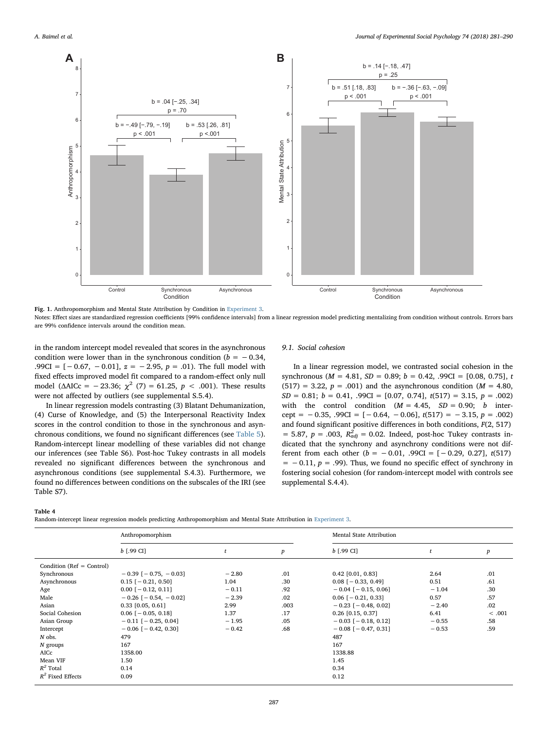<span id="page-6-0"></span>

Fig. 1. Anthropomorphism and Mental State Attribution by Condition in [Experiment 3.](#page-4-0)

Notes: Effect sizes are standardized regression coefficients [99% confidence intervals] from a linear regression model predicting mentalizing from condition without controls. Errors bars are 99% confidence intervals around the condition mean.

in the random intercept model revealed that scores in the asynchronous condition were lower than in the synchronous condition ( $b = -0.34$ , .99CI =  $[-0.67, -0.01]$ ,  $z = -2.95$ ,  $p = .01$ ). The full model with fixed effects improved model fit compared to a random-effect only null model ( $\triangle$ AICc = -23.36;  $\chi^2$  (7) = 61.25, p < .001). These results were not affected by outliers (see supplemental S.5.4).

In linear regression models contrasting (3) Blatant Dehumanization, (4) Curse of Knowledge, and (5) the Interpersonal Reactivity Index scores in the control condition to those in the synchronous and asynchronous conditions, we found no significant differences (see [Table 5](#page-7-0)). Random-intercept linear modelling of these variables did not change our inferences (see Table S6). Post-hoc Tukey contrasts in all models revealed no significant differences between the synchronous and asynchronous conditions (see supplemental S.4.3). Furthermore, we found no differences between conditions on the subscales of the IRI (see Table S7).

### 9.1. Social cohesion

In a linear regression model, we contrasted social cohesion in the synchronous ( $M = 4.81$ ,  $SD = 0.89$ ;  $b = 0.42$ , .99CI = [0.08, 0.75], t  $(517) = 3.22, p = .001$  and the asynchronous condition (*M* = 4.80,  $SD = 0.81$ ;  $b = 0.41$ , .99CI = [0.07, 0.74],  $t(517) = 3.15$ ,  $p = .002$ ) with the control condition  $(M = 4.45, SD = 0.90; b$  intercept =  $-0.35$ , .99CI = [ $-0.64$ ,  $-0.06$ ],  $t(517) = -3.15$ ,  $p = .002$ ) and found significant positive differences in both conditions, F(2, 517) = 5.87,  $p = .003$ ,  $R_{adj}^2 = 0.02$ . Indeed, post-hoc Tukey contrasts indicated that the synchrony and asynchrony conditions were not different from each other  $(b = -0.01, .99CI = [-0.29, 0.27], t(517)$  $= -0.11$ ,  $p = .99$ ). Thus, we found no specific effect of synchrony in fostering social cohesion (for random-intercept model with controls see supplemental S.4.4).

<span id="page-6-1"></span>Table 4

Random-intercept linear regression models predicting Anthropomorphism and Mental State Attribution in [Experiment 3.](#page-4-0)

|                               | Anthropomorphism              |         |                  | Mental State Attribution  |         |        |  |  |  |
|-------------------------------|-------------------------------|---------|------------------|---------------------------|---------|--------|--|--|--|
|                               | $b$ [.99 CI]                  | t       | $\boldsymbol{p}$ | $b$ [.99 CI]              |         | p      |  |  |  |
| Condition ( $Ref = Control$ ) |                               |         |                  |                           |         |        |  |  |  |
| Synchronous                   | $-0.39$ [ $-0.75$ , $-0.03$ ] | $-2.80$ | .01              | $0.42$ [0.01, 0.83]       | 2.64    | .01    |  |  |  |
| Asynchronous                  | $0.15$ [ $-0.21$ , 0.50]      | 1.04    | .30              | $0.08$ [ $- 0.33$ , 0.49] | 0.51    | .61    |  |  |  |
| Age                           | $0.00$ $[-0.12, 0.11]$        | $-0.11$ | .92              | $-0.04$ [ $-0.15$ , 0.06] | $-1.04$ | .30    |  |  |  |
| Male                          | $-0.26$ [ $-0.54$ , $-0.02$ ] | $-2.39$ | .02              | $0.06$ $[-0.21, 0.33]$    | 0.57    | .57    |  |  |  |
| Asian                         | $0.33$ [0.05, 0.61]           | 2.99    | .003             | $-0.23$ [ $-0.48$ , 0.02] | $-2.40$ | .02    |  |  |  |
| Social Cohesion               | $0.06$ [ $-0.05$ , 0.18]      | 1.37    | .17              | $0.26$ [0.15, 0.37]       | 6.41    | < .001 |  |  |  |
| Asian Group                   | $-0.11$ [ $-0.25$ , 0.04]     | $-1.95$ | .05              | $-0.03$ [ $-0.18$ , 0.12] | $-0.55$ | .58    |  |  |  |
| Intercept                     | $-0.06$ [ $-0.42$ , 0.30]     | $-0.42$ | .68              | $-0.08$ [ $-0.47$ , 0.31] | $-0.53$ | .59    |  |  |  |
| $N$ obs.                      | 479                           |         |                  | 487                       |         |        |  |  |  |
| $N$ groups                    | 167                           |         |                  | 167                       |         |        |  |  |  |
| AICc                          | 1358.00                       |         |                  | 1338.88                   |         |        |  |  |  |
| Mean VIF                      | 1.50                          |         |                  | 1.45                      |         |        |  |  |  |
| $R^2$ Total                   | 0.14                          |         |                  | 0.34                      |         |        |  |  |  |
| $R^2$ Fixed Effects           | 0.09                          |         |                  | 0.12                      |         |        |  |  |  |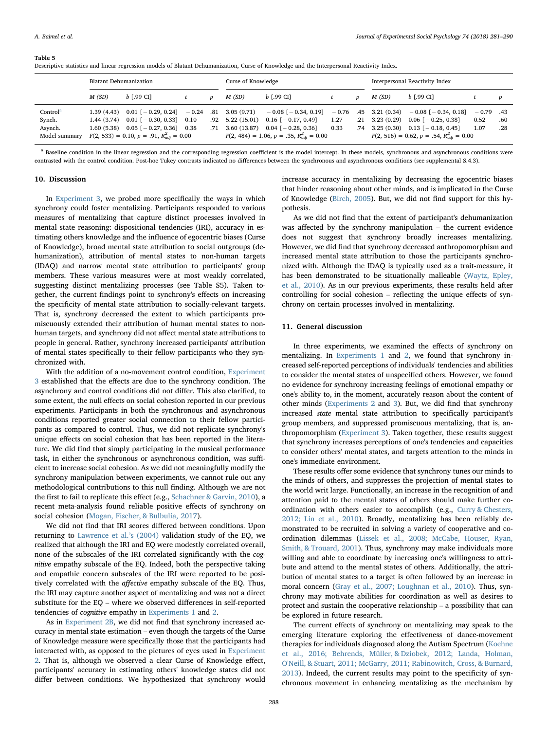#### <span id="page-7-0"></span>Table 5

|  |  |  |  | Descriptive statistics and linear regression models of Blatant Dehumanization, Curse of Knowledge and the Interpersonal Reactivity Index. |  |  |  |  |
|--|--|--|--|-------------------------------------------------------------------------------------------------------------------------------------------|--|--|--|--|
|  |  |  |  |                                                                                                                                           |  |  |  |  |
|  |  |  |  |                                                                                                                                           |  |  |  |  |

|                                                            | <b>Blatant Dehumanization</b> |                                                                                                                                                                                   |  | Curse of Knowledge |            |                                                                                                                                 |              | Interpersonal Reactivity Index |       |                                                                                                                                                                                                         |                         |                   |
|------------------------------------------------------------|-------------------------------|-----------------------------------------------------------------------------------------------------------------------------------------------------------------------------------|--|--------------------|------------|---------------------------------------------------------------------------------------------------------------------------------|--------------|--------------------------------|-------|---------------------------------------------------------------------------------------------------------------------------------------------------------------------------------------------------------|-------------------------|-------------------|
|                                                            | M(SD)                         | b [.99 CI]                                                                                                                                                                        |  |                    | M(SD)      | b [.99 CI]                                                                                                                      |              | n                              | M(SD) | b [.99 CI]                                                                                                                                                                                              |                         | D                 |
| Control <sup>a</sup><br>Synch.<br>Asynch.<br>Model summary |                               | $1.39(4.43)$ $0.01$ [ $-0.29, 0.24$ ] $-0.24$<br>$1.44(3.74)$ 0.01 [ - 0.30, 0.33] 0.10<br>$1.60(5.38)$ $0.05[-0.27, 0.36]$ 0.38<br>$F(2, 533) = 0.10, p = .91, R_{adi}^2 = 0.00$ |  | .81<br>.92<br>.71  | 3.05(9.71) | $5.22(15.01)$ $0.16$ $[-0.17, 0.49]$<br>3.60 (13.87) $0.04$ [ $- 0.28$ , 0.36]<br>$F(2, 484) = 1.06, p = .35, R_{adi}^2 = 0.00$ | 1.27<br>0.33 | .21                            |       | $-0.08$ [ $-0.34$ , 0.19] $-0.76$ .45 3.21 (0.34) $-0.08$ [ $-0.34$ , 0.18]<br>$3.23(0.29)$ 0.06 [-0.25, 0.38]<br>$.74$ 3.25 (0.30) 0.13 [-0.18, 0.45]<br>$F(2, 516) = 0.62, p = .54, R_{adi}^2 = 0.00$ | $-0.79$<br>0.52<br>1.07 | .43<br>.60<br>.28 |

<span id="page-7-1"></span><sup>a</sup> Baseline condition in the linear regression and the corresponding regression coefficient is the model intercept. In these models, synchronous and asynchronous conditions were contrasted with the control condition. Post-hoc Tukey contrasts indicated no differences between the synchronous and asynchronous conditions (see supplemental S.4.3).

#### 10. Discussion

In [Experiment 3](#page-4-0), we probed more specifically the ways in which synchrony could foster mentalizing. Participants responded to various measures of mentalizing that capture distinct processes involved in mental state reasoning: dispositional tendencies (IRI), accuracy in estimating others knowledge and the influence of egocentric biases (Curse of Knowledge), broad mental state attribution to social outgroups (dehumanization), attribution of mental states to non-human targets (IDAQ) and narrow mental state attribution to participants' group members. These various measures were at most weakly correlated, suggesting distinct mentalizing processes (see Table S5). Taken together, the current findings point to synchrony's effects on increasing the specificity of mental state attribution to socially-relevant targets. That is, synchrony decreased the extent to which participants promiscuously extended their attribution of human mental states to nonhuman targets, and synchrony did not affect mental state attributions to people in general. Rather, synchrony increased participants' attribution of mental states specifically to their fellow participants who they synchronized with.

With the addition of a no-movement control condition, [Experiment](#page-4-0) [3](#page-4-0) established that the effects are due to the synchrony condition. The asynchrony and control conditions did not differ. This also clarified, to some extent, the null effects on social cohesion reported in our previous experiments. Participants in both the synchronous and asynchronous conditions reported greater social connection to their fellow participants as compared to control. Thus, we did not replicate synchrony's unique effects on social cohesion that has been reported in the literature. We did find that simply participating in the musical performance task, in either the synchronous or asynchronous condition, was sufficient to increase social cohesion. As we did not meaningfully modify the synchrony manipulation between experiments, we cannot rule out any methodological contributions to this null finding. Although we are not the first to fail to replicate this effect (e.g., [Schachner & Garvin, 2010](#page-9-34)), a recent meta-analysis found reliable positive effects of synchrony on social cohesion ([Mogan, Fischer, & Bulbulia, 2017](#page-9-35)).

We did not find that IRI scores differed between conditions. Upon returning to [Lawrence et al.](#page-9-24)'s (2004) validation study of the EQ, we realized that although the IRI and EQ were modestly correlated overall, none of the subscales of the IRI correlated significantly with the cognitive empathy subscale of the EQ. Indeed, both the perspective taking and empathic concern subscales of the IRI were reported to be positively correlated with the affective empathy subscale of the EQ. Thus, the IRI may capture another aspect of mentalizing and was not a direct substitute for the EQ – where we observed differences in self-reported tendencies of cognitive empathy in [Experiments 1](#page-1-0) and [2](#page-3-0).

As in [Experiment 2B,](#page-3-0) we did not find that synchrony increased accuracy in mental state estimation – even though the targets of the Curse of Knowledge measure were specifically those that the participants had interacted with, as opposed to the pictures of eyes used in [Experiment](#page-3-0) [2](#page-3-0). That is, although we observed a clear Curse of Knowledge effect, participants' accuracy in estimating others' knowledge states did not differ between conditions. We hypothesized that synchrony would

increase accuracy in mentalizing by decreasing the egocentric biases that hinder reasoning about other minds, and is implicated in the Curse of Knowledge [\(Birch, 2005](#page-8-7)). But, we did not find support for this hypothesis.

As we did not find that the extent of participant's dehumanization was affected by the synchrony manipulation – the current evidence does not suggest that synchrony broadly increases mentalizing. However, we did find that synchrony decreased anthropomorphism and increased mental state attribution to those the participants synchronized with. Although the IDAQ is typically used as a trait-measure, it has been demonstrated to be situationally malleable ([Waytz, Epley,](#page-9-16) [et al., 2010](#page-9-16)). As in our previous experiments, these results held after controlling for social cohesion – reflecting the unique effects of synchrony on certain processes involved in mentalizing.

## 11. General discussion

In three experiments, we examined the effects of synchrony on mentalizing. In [Experiments 1](#page-1-0) and [2](#page-3-0), we found that synchrony increased self-reported perceptions of individuals' tendencies and abilities to consider the mental states of unspecified others. However, we found no evidence for synchrony increasing feelings of emotional empathy or one's ability to, in the moment, accurately reason about the content of other minds [\(Experiments 2](#page-3-0) and [3](#page-4-0)). But, we did find that synchrony increased state mental state attribution to specifically participant's group members, and suppressed promiscuous mentalizing, that is, anthropomorphism [\(Experiment 3](#page-4-0)). Taken together, these results suggest that synchrony increases perceptions of one's tendencies and capacities to consider others' mental states, and targets attention to the minds in one's immediate environment.

These results offer some evidence that synchrony tunes our minds to the minds of others, and suppresses the projection of mental states to the world writ large. Functionally, an increase in the recognition of and attention paid to the mental states of others should make further coordination with others easier to accomplish (e.g., [Curry & Chesters,](#page-8-16) [2012; Lin et al., 2010\)](#page-8-16). Broadly, mentalizing has been reliably demonstrated to be recruited in solving a variety of cooperative and coordination dilemmas ([Lissek et al., 2008; McCabe, Houser, Ryan,](#page-9-36) [Smith, & Trouard, 2001](#page-9-36)). Thus, synchrony may make individuals more willing and able to coordinate by increasing one's willingness to attribute and attend to the mental states of others. Additionally, the attribution of mental states to a target is often followed by an increase in moral concern ([Gray et al., 2007; Loughnan et al., 2010](#page-9-32)). Thus, synchrony may motivate abilities for coordination as well as desires to protect and sustain the cooperative relationship – a possibility that can be explored in future research.

The current effects of synchrony on mentalizing may speak to the emerging literature exploring the effectiveness of dance-movement therapies for individuals diagnosed along the Autism Spectrum [\(Koehne](#page-9-15) [et al., 2016; Behrends, Müller, & Dziobek, 2012; Landa, Holman,](#page-9-15) [O'Neill, & Stuart, 2011; McGarry, 2011; Rabinowitch, Cross, & Burnard,](#page-9-15) [2013\)](#page-9-15). Indeed, the current results may point to the specificity of synchronous movement in enhancing mentalizing as the mechanism by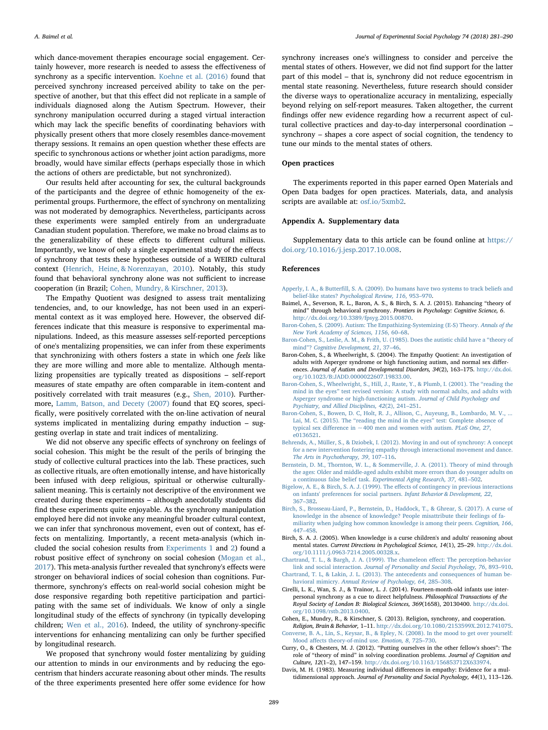which dance-movement therapies encourage social engagement. Certainly however, more research is needed to assess the effectiveness of synchrony as a specific intervention. [Koehne et al. \(2016\)](#page-9-15) found that perceived synchrony increased perceived ability to take on the perspective of another, but that this effect did not replicate in a sample of individuals diagnosed along the Autism Spectrum. However, their synchrony manipulation occurred during a staged virtual interaction which may lack the specific benefits of coordinating behaviors with physically present others that more closely resembles dance-movement therapy sessions. It remains an open question whether these effects are specific to synchronous actions or whether joint action paradigms, more broadly, would have similar effects (perhaps especially those in which the actions of others are predictable, but not synchronized).

Our results held after accounting for sex, the cultural backgrounds of the participants and the degree of ethnic homogeneity of the experimental groups. Furthermore, the effect of synchrony on mentalizing was not moderated by demographics. Nevertheless, participants across these experiments were sampled entirely from an undergraduate Canadian student population. Therefore, we make no broad claims as to the generalizability of these effects to different cultural milieus. Importantly, we know of only a single experimental study of the effects of synchrony that tests these hypotheses outside of a WEIRD cultural context ([Henrich, Heine, & Norenzayan, 2010](#page-9-37)). Notably, this study found that behavioral synchrony alone was not sufficient to increase cooperation (in Brazil; [Cohen, Mundry, & Kirschner, 2013\)](#page-8-17).

The Empathy Quotient was designed to assess trait mentalizing tendencies, and, to our knowledge, has not been used in an experimental context as it was employed here. However, the observed differences indicate that this measure is responsive to experimental manipulations. Indeed, as this measure assesses self-reported perceptions of one's mentalizing propensities, we can infer from these experiments that synchronizing with others fosters a state in which one feels like they are more willing and more able to mentalize. Although mentalizing propensities are typically treated as dispositions – self-report measures of state empathy are often comparable in item-content and positively correlated with trait measures (e.g., [Shen, 2010](#page-9-38)). Furthermore, [Lamm, Batson, and Decety \(2007\)](#page-9-39) found that EQ scores, specifically, were positively correlated with the on-line activation of neural systems implicated in mentalizing during empathy induction – suggesting overlap in state and trait indices of mentalizing.

We did not observe any specific effects of synchrony on feelings of social cohesion. This might be the result of the perils of bringing the study of collective cultural practices into the lab. These practices, such as collective rituals, are often emotionally intense, and have historically been infused with deep religious, spiritual or otherwise culturallysalient meaning. This is certainly not descriptive of the environment we created during these experiments – although anecdotally students did find these experiments quite enjoyable. As the synchrony manipulation employed here did not invoke any meaningful broader cultural context, we can infer that synchronous movement, even out of context, has effects on mentalizing. Importantly, a recent meta-analysis (which included the social cohesion results from [Experiments 1](#page-1-0) and [2](#page-3-0)) found a robust positive effect of synchrony on social cohesion [\(Mogan et al.,](#page-9-35) [2017\)](#page-9-35). This meta-analysis further revealed that synchrony's effects were stronger on behavioral indices of social cohesion than cognitions. Furthermore, synchrony's effects on real-world social cohesion might be dose responsive regarding both repetitive participation and participating with the same set of individuals. We know of only a single longitudinal study of the effects of synchrony (in typically developing children; [Wen et al., 2016\)](#page-9-3). Indeed, the utility of synchrony-specific interventions for enhancing mentalizing can only be further specified by longitudinal research.

We proposed that synchrony would foster mentalizing by guiding our attention to minds in our environments and by reducing the egocentrism that hinders accurate reasoning about other minds. The results of the three experiments presented here offer some evidence for how

synchrony increases one's willingness to consider and perceive the mental states of others. However, we did not find support for the latter part of this model – that is, synchrony did not reduce egocentrism in mental state reasoning. Nevertheless, future research should consider the diverse ways to operationalize accuracy in mentalizing, especially beyond relying on self-report measures. Taken altogether, the current findings offer new evidence regarding how a recurrent aspect of cultural collective practices and day-to-day interpersonal coordination – synchrony – shapes a core aspect of social cognition, the tendency to tune our minds to the mental states of others.

#### Open practices

The experiments reported in this paper earned Open Materials and Open Data badges for open practices. Materials, data, and analysis scripts are available at: [osf.io/5xmb2](http://osf.io/5xmb2).

#### Appendix A. Supplementary data

Supplementary data to this article can be found online at [https://](https://doi.org/10.1016/j.jesp.2017.10.008) [doi.org/10.1016/j.jesp.2017.10.008](https://doi.org/10.1016/j.jesp.2017.10.008).

#### References

<span id="page-8-2"></span>Apperly, I. A., & Butterfi[ll, S. A. \(2009\). Do humans have two systems to track beliefs and](http://refhub.elsevier.com/S0022-1031(17)30393-1/rf1300) belief-like states? [Psychological Review, 116](http://refhub.elsevier.com/S0022-1031(17)30393-1/rf1300), 953–970.

- <span id="page-8-13"></span>Baimel, A., Severson, R. L., Baron, A. S., & Birch, S. A. J. (2015). Enhancing "theory of mind" through behavioral synchrony. Frontiers in Psychology: Cognitive Science, 6. <http://dx.doi.org/10.3389/fpsyg.2015.00870>.
- <span id="page-8-9"></span>[Baron-Cohen, S. \(2009\). Autism: The Empathizing-Systemizing \(E-S\) Theory.](http://refhub.elsevier.com/S0022-1031(17)30393-1/rf2500) Annals of the [New York Academy of Sciences, 1156](http://refhub.elsevier.com/S0022-1031(17)30393-1/rf2500), 60–68.
- <span id="page-8-1"></span>[Baron-Cohen, S., Leslie, A. M., & Frith, U. \(1985\). Does the autistic child have a](http://refhub.elsevier.com/S0022-1031(17)30393-1/rf0010) "theory of mind"? [Cognitive Development, 21](http://refhub.elsevier.com/S0022-1031(17)30393-1/rf0010), 37–46.
- <span id="page-8-8"></span>Baron-Cohen, S., & Wheelwright, S. (2004). The Empathy Quotient: An investigation of adults with Asperger syndrome or high functioning autism, and normal sex differences. Journal of Autism and Developmental Disorders, 34(2), 163–175. [http://dx.doi.](http://dx.doi.org/10.1023/B:JADD.0000022607.19833.00) [org/10.1023/B:JADD.0000022607.19833.00.](http://dx.doi.org/10.1023/B:JADD.0000022607.19833.00)
- <span id="page-8-11"></span>[Baron-Cohen, S., Wheelwright, S., Hill, J., Raste, Y., & Plumb, I. \(2001\). The](http://refhub.elsevier.com/S0022-1031(17)30393-1/rf0020) "reading the mind in the eyes" [test revised version: A study with normal adults, and adults with](http://refhub.elsevier.com/S0022-1031(17)30393-1/rf0020) [Asperger syndrome or high-functioning autism.](http://refhub.elsevier.com/S0022-1031(17)30393-1/rf0020) Journal of Child Psychology and [Psychiatry, and Allied Disciplines, 42](http://refhub.elsevier.com/S0022-1031(17)30393-1/rf0020)(2), 241–251.
- <span id="page-8-12"></span>[Baron-Cohen, S., Bowen, D. C, Holt, R. J., Allison, C., Auyeung, B., Lombardo, M. V., ...](http://refhub.elsevier.com/S0022-1031(17)30393-1/rf2700) Lai, M. C. (2015). The "[reading the mind in the eyes](http://refhub.elsevier.com/S0022-1031(17)30393-1/rf2700)" test: Complete absence of typical sex difference in  $\sim$  400 men and women with autism. PLoS One, 27, [e0136521.](http://refhub.elsevier.com/S0022-1031(17)30393-1/rf2700)
- [Behrends, A., Müller, S., & Dziobek, I. \(2012\). Moving in and out of synchrony: A concept](http://refhub.elsevier.com/S0022-1031(17)30393-1/rf0025) [for a new intervention fostering empathy through interactional movement and dance.](http://refhub.elsevier.com/S0022-1031(17)30393-1/rf0025) [The Arts in Psychotherapy, 39](http://refhub.elsevier.com/S0022-1031(17)30393-1/rf0025), 107–116.
- <span id="page-8-10"></span>[Bernstein, D. M., Thornton, W. L., & Sommerville, J. A. \(2011\). Theory of mind through](http://refhub.elsevier.com/S0022-1031(17)30393-1/rf2600) [the ages: Older and middle-aged adults exhibit more errors than do younger adults on](http://refhub.elsevier.com/S0022-1031(17)30393-1/rf2600) a continuous false belief task. [Experimental Aging Research, 37](http://refhub.elsevier.com/S0022-1031(17)30393-1/rf2600), 481–502.
- <span id="page-8-4"></span>[Bigelow, A. E., & Birch, S. A. J. \(1999\). The e](http://refhub.elsevier.com/S0022-1031(17)30393-1/rf1500)ffects of contingency in previous interactions [on infants' preferences for social partners.](http://refhub.elsevier.com/S0022-1031(17)30393-1/rf1500) Infant Behavior & Development, 22, 367–[382](http://refhub.elsevier.com/S0022-1031(17)30393-1/rf1500).
- <span id="page-8-14"></span>[Birch, S., Brosseau-Liard, P., Bernstein, D., Haddock, T., & Ghrear, S. \(2017\). A curse of](http://refhub.elsevier.com/S0022-1031(17)30393-1/rf0030) [knowledge in the absence of knowledge? People misattribute their feelings of fa](http://refhub.elsevier.com/S0022-1031(17)30393-1/rf0030)miliarity [when judging how common knowledge is among their peers.](http://refhub.elsevier.com/S0022-1031(17)30393-1/rf0030) Cognition, 166, 447–[458](http://refhub.elsevier.com/S0022-1031(17)30393-1/rf0030).
- <span id="page-8-7"></span>Birch, S. A. J. (2005). When knowledge is a curse children's and adults' reasoning about mental states. Current Directions in Psychological Science, 14(1), 25–29. [http://dx.doi.](http://dx.doi.org/10.1111/j.0963-7214.2005.00328.x) [org/10.1111/j.0963-7214.2005.00328.x.](http://dx.doi.org/10.1111/j.0963-7214.2005.00328.x)
- <span id="page-8-6"></span>[Chartrand, T. L., & Bargh, J. A. \(1999\). The chameleon e](http://refhub.elsevier.com/S0022-1031(17)30393-1/rf1900)ffect: The perception-behavior link and social interaction. [Journal of Personality and Social Psychology, 76](http://refhub.elsevier.com/S0022-1031(17)30393-1/rf1900), 893–910.
- <span id="page-8-5"></span>[Chartrand, T. L, & Lakin, J. L. \(2013\). The antecedents and consequences of human be](http://refhub.elsevier.com/S0022-1031(17)30393-1/rf1800)havioral mimicry. [Annual Review of Psychology, 64](http://refhub.elsevier.com/S0022-1031(17)30393-1/rf1800), 285–308.
- <span id="page-8-0"></span>Cirelli, L. K., Wan, S. J., & Trainor, L. J. (2014). Fourteen-month-old infants use interpersonal synchrony as a cue to direct helpfulness. Philosophical Transactions of the Royal Society of London B: Biological Sciences, 369(1658), 20130400. [http://dx.doi.](http://dx.doi.org/10.1098/rstb.2013.0400) [org/10.1098/rstb.2013.0400](http://dx.doi.org/10.1098/rstb.2013.0400).

- <span id="page-8-3"></span>Religion, Brain & Behavior, 1–11. [http://dx.doi.org/10.1080/2153599X.2012.741075.](http://dx.doi.org/10.1080/2153599X.2012.741075) [Converse, B. A., Lin, S., Keysar, B., & Epley, N. \(2008\). In the mood to get over yourself:](http://refhub.elsevier.com/S0022-1031(17)30393-1/rf1400) Mood aff[ects theory-of-mind use.](http://refhub.elsevier.com/S0022-1031(17)30393-1/rf1400) Emotion, 8, 725–730.
- <span id="page-8-16"></span>Curry, O., & Chesters, M. J. (2012). "Putting ourselves in the other fellow's shoes": The role of "theory of mind" in solving coordination problems. Journal of Cognition and Culture, 12(1–2), 147–159. [http://dx.doi.org/10.1163/156853712X633974.](http://dx.doi.org/10.1163/156853712X633974)
- <span id="page-8-15"></span>Davis, M. H. (1983). Measuring individual differences in empathy: Evidence for a multidimensional approach. Journal of Personality and Social Psychology, 44(1), 113–126.

<span id="page-8-17"></span>Cohen, E., Mundry, R., & Kirschner, S. (2013). Religion, synchrony, and cooperation.